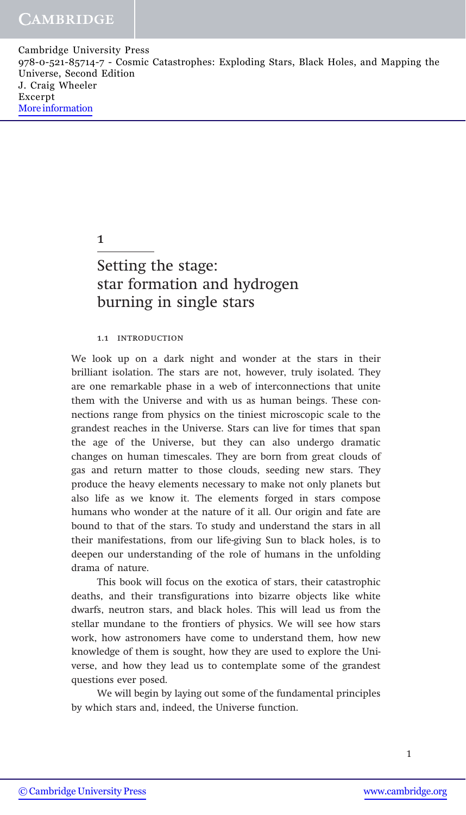1

# Setting the stage: star formation and hydrogen burning in single stars

#### 1.1 introduction

We look up on a dark night and wonder at the stars in their brilliant isolation. The stars are not, however, truly isolated. They are one remarkable phase in a web of interconnections that unite them with the Universe and with us as human beings. These connections range from physics on the tiniest microscopic scale to the grandest reaches in the Universe. Stars can live for times that span the age of the Universe, but they can also undergo dramatic changes on human timescales. They are born from great clouds of gas and return matter to those clouds, seeding new stars. They produce the heavy elements necessary to make not only planets but also life as we know it. The elements forged in stars compose humans who wonder at the nature of it all. Our origin and fate are bound to that of the stars.To study and understand the stars in all their manifestations, from our life-giving Sun to black holes, is to deepen our understanding of the role of humans in the unfolding drama of nature.

This book will focus on the exotica of stars, their catastrophic deaths, and their transfigurations into bizarre objects like white dwarfs, neutron stars, and black holes.This will lead us from the stellar mundane to the frontiers of physics.We will see how stars work, how astronomers have come to understand them, how new knowledge of them is sought, how they are used to explore the Universe, and how they lead us to contemplate some of the grandest questions ever posed.

We will begin by laying out some of the fundamental principles by which stars and, indeed, the Universe function.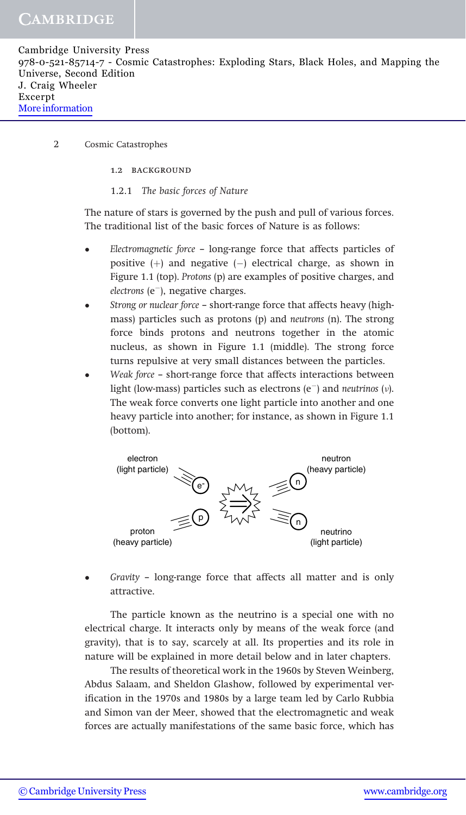| Cambridge University Press                                                             |  |
|----------------------------------------------------------------------------------------|--|
| 978-0-521-85714-7 - Cosmic Catastrophes: Exploding Stars, Black Holes, and Mapping the |  |
| Universe, Second Edition                                                               |  |
| J. Craig Wheeler                                                                       |  |
| Excerpt                                                                                |  |
| More information                                                                       |  |
|                                                                                        |  |

2 Cosmic Catastrophes

1.2 BACKGROUND

## 1.2.1 The basic forces of Nature

The nature of stars is governed by the push and pull of various forces. The traditional list of the basic forces of Nature is as follows:

- Electromagnetic force long-range force that affects particles of positive  $(+)$  and negative  $(-)$  electrical charge, as shown in Figure 1.1 (top). Protons (p) are examples of positive charges, and electrons ( $e^-$ ), negative charges.
- Strong or nuclear force short-range force that affects heavy (highmass) particles such as protons (p) and neutrons (n). The strong force binds protons and neutrons together in the atomic nucleus, as shown in Figure 1.1 (middle). The strong force turns repulsive at very small distances between the particles.
- Weak force short-range force that affects interactions between light (low-mass) particles such as electrons (e<sup>-</sup>) and *neutrinos* ( $v$ ). The weak force converts one light particle into another and one heavy particle into another; for instance, as shown in Figure 1.1 (bottom).



 Gravity – long-range force that affects all matter and is only attractive.

The particle known as the neutrino is a special one with no electrical charge. It interacts only by means of the weak force (and gravity), that is to say, scarcely at all.Its properties and its role in nature will be explained in more detail below and in later chapters.

The results of theoretical work in the 1960s by Steven Weinberg, Abdus Salaam, and Sheldon Glashow, followed by experimental verification in the 1970s and 1980s by a large team led by Carlo Rubbia and Simon van der Meer, showed that the electromagnetic and weak forces are actually manifestations of the same basic force, which has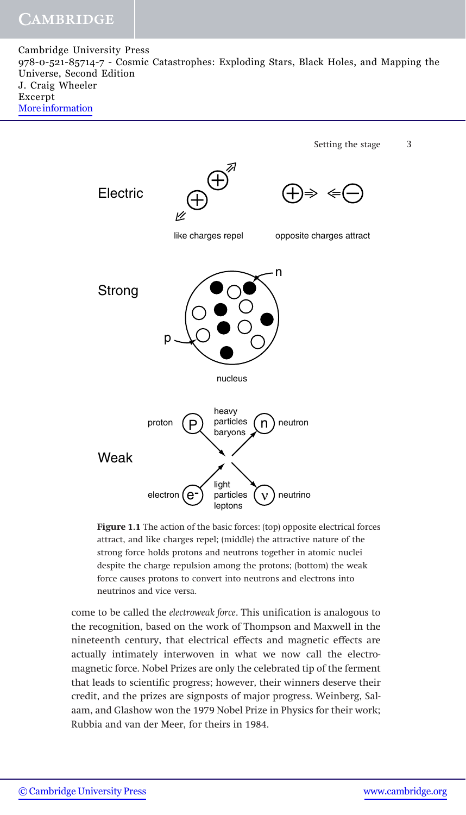

Figure 1.1 The action of the basic forces: (top) opposite electrical forces attract, and like charges repel; (middle) the attractive nature of the strong force holds protons and neutrons together in atomic nuclei despite the charge repulsion among the protons; (bottom) the weak force causes protons to convert into neutrons and electrons into neutrinos and vice versa.

come to be called the electroweak force. This unification is analogous to the recognition, based on the work of Thompson and Maxwell in the nineteenth century, that electrical effects and magnetic effects are actually intimately interwoven in what we now call the electromagnetic force. Nobel Prizes are only the celebrated tip of the ferment that leads to scientific progress; however, their winners deserve their credit, and the prizes are signposts of major progress.Weinberg, Salaam, and Glashow won the 1979 Nobel Prize in Physics for their work; Rubbia and van der Meer, for theirs in 1984.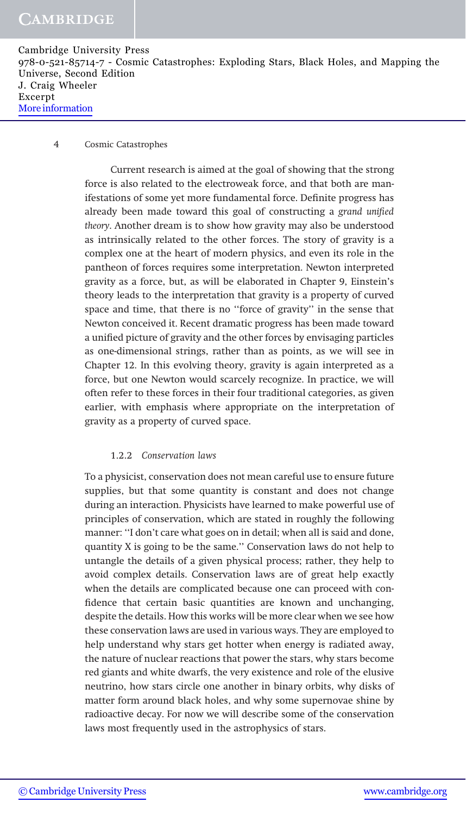| Cambridge University Press                                                             |  |
|----------------------------------------------------------------------------------------|--|
| 978-0-521-85714-7 - Cosmic Catastrophes: Exploding Stars, Black Holes, and Mapping the |  |
| Universe, Second Edition                                                               |  |
| J. Craig Wheeler                                                                       |  |
| Excerpt                                                                                |  |
| More information                                                                       |  |
|                                                                                        |  |

#### 4 Cosmic Catastrophes

Current research is aimed at the goal of showing that the strong force is also related to the electroweak force, and that both are manifestations of some yet more fundamental force. Definite progress has already been made toward this goal of constructing a grand unified theory.Another dream is to show how gravity may also be understood as intrinsically related to the other forces.The story of gravity is a complex one at the heart of modern physics, and even its role in the pantheon of forces requires some interpretation. Newton interpreted gravity as a force, but, as will be elaborated in Chapter 9, Einstein's theory leads to the interpretation that gravity is a property of curved space and time, that there is no ''force of gravity'' in the sense that Newton conceived it. Recent dramatic progress has been made toward a unified picture of gravity and the other forces by envisaging particles as one-dimensional strings, rather than as points, as we will see in Chapter 12.In this evolving theory, gravity is again interpreted as a force, but one Newton would scarcely recognize.In practice, we will often refer to these forces in their four traditional categories, as given earlier, with emphasis where appropriate on the interpretation of gravity as a property of curved space.

#### 1.2.2 Conservation laws

To a physicist, conservation does not mean careful use to ensure future supplies, but that some quantity is constant and does not change during an interaction.Physicists have learned to make powerful use of principles of conservation, which are stated in roughly the following manner: ''I don't care what goes on in detail; when all is said and done, quantity X is going to be the same.'' Conservation laws do not help to untangle the details of a given physical process; rather, they help to avoid complex details. Conservation laws are of great help exactly when the details are complicated because one can proceed with confidence that certain basic quantities are known and unchanging, despite the details. How this works will be more clear when we see how these conservation laws are used in various ways.They are employed to help understand why stars get hotter when energy is radiated away, the nature of nuclear reactions that power the stars, why stars become red giants and white dwarfs, the very existence and role of the elusive neutrino, how stars circle one another in binary orbits, why disks of matter form around black holes, and why some supernovae shine by radioactive decay. For now we will describe some of the conservation laws most frequently used in the astrophysics of stars.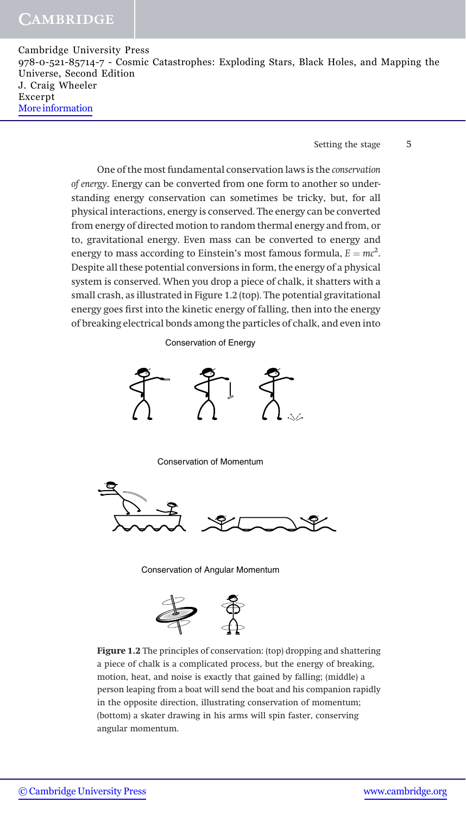Setting the stage 5

One of the most fundamental conservation laws is the conservation of energy.Energy can be converted from one form to another so understanding energy conservation can sometimes be tricky, but, for all physical interactions, energy is conserved.The energy can be converted from energy of directed motion to random thermal energy and from, or to, gravitational energy.Even mass can be converted to energy and energy to mass according to Einstein's most famous formula,  $E = mc^2$ . Despite all these potential conversions in form, the energy of a physical system is conserved.When you drop a piece of chalk, it shatters with a small crash, as illustrated in Figure 1.2 (top). The potential gravitational energy goes first into the kinetic energy of falling, then into the energy of breaking electrical bonds among the particles of chalk, and even into

Conservation of Energy



Conservation of Momentum



Conservation of Angular Momentum



Figure 1.2 The principles of conservation: (top) dropping and shattering a piece of chalk is a complicated process, but the energy of breaking, motion, heat, and noise is exactly that gained by falling; (middle) a person leaping from a boat will send the boat and his companion rapidly in the opposite direction, illustrating conservation of momentum; (bottom) a skater drawing in his arms will spin faster, conserving angular momentum.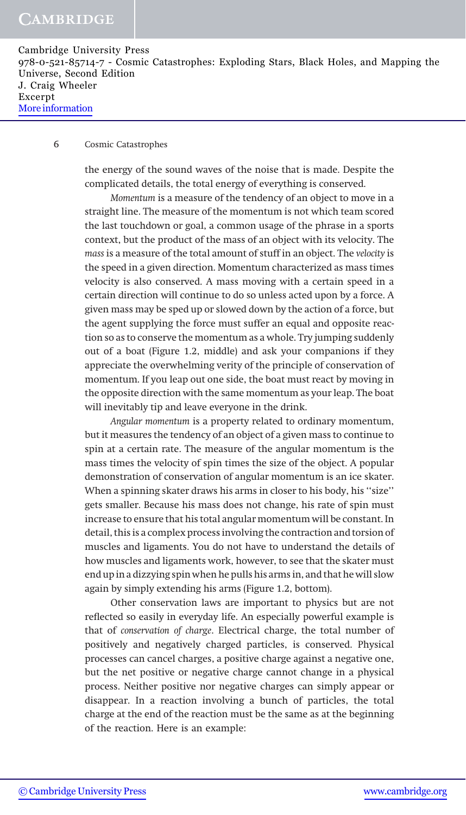#### 6 Cosmic Catastrophes

the energy of the sound waves of the noise that is made. Despite the complicated details, the total energy of everything is conserved.

Momentum is a measure of the tendency of an object to move in a straight line.The measure of the momentum is not which team scored the last touchdown or goal, a common usage of the phrase in a sports context, but the product of the mass of an object with its velocity.The mass is a measure of the total amount of stuff in an object.The velocity is the speed in a given direction. Momentum characterized as mass times velocity is also conserved.A mass moving with a certain speed in a certain direction will continue to do so unless acted upon by a force.A given mass may be sped up or slowed down by the action of a force, but the agent supplying the force must suffer an equal and opposite reaction so as to conserve the momentum as a whole.Try jumping suddenly out of a boat (Figure 1.2, middle) and ask your companions if they appreciate the overwhelming verity of the principle of conservation of momentum.If you leap out one side, the boat must react by moving in the opposite direction with the same momentum as your leap.The boat will inevitably tip and leave everyone in the drink.

Angular momentum is a property related to ordinary momentum, but it measures the tendency of an object of a given mass to continue to spin at a certain rate. The measure of the angular momentum is the mass times the velocity of spin times the size of the object.A popular demonstration of conservation of angular momentum is an ice skater. When a spinning skater draws his arms in closer to his body, his ''size'' gets smaller. Because his mass does not change, his rate of spin must increase to ensure that his total angular momentum will be constant. In detail, this is a complex process involving the contraction and torsion of muscles and ligaments.You do not have to understand the details of how muscles and ligaments work, however, to see that the skater must end up in a dizzying spin when he pulls his arms in, and that he will slow again by simply extending his arms (Figure 1.2, bottom).

Other conservation laws are important to physics but are not reflected so easily in everyday life.An especially powerful example is that of conservation of charge. Electrical charge, the total number of positively and negatively charged particles, is conserved.Physical processes can cancel charges, a positive charge against a negative one, but the net positive or negative charge cannot change in a physical process.Neither positive nor negative charges can simply appear or disappear.In a reaction involving a bunch of particles, the total charge at the end of the reaction must be the same as at the beginning of the reaction. Here is an example: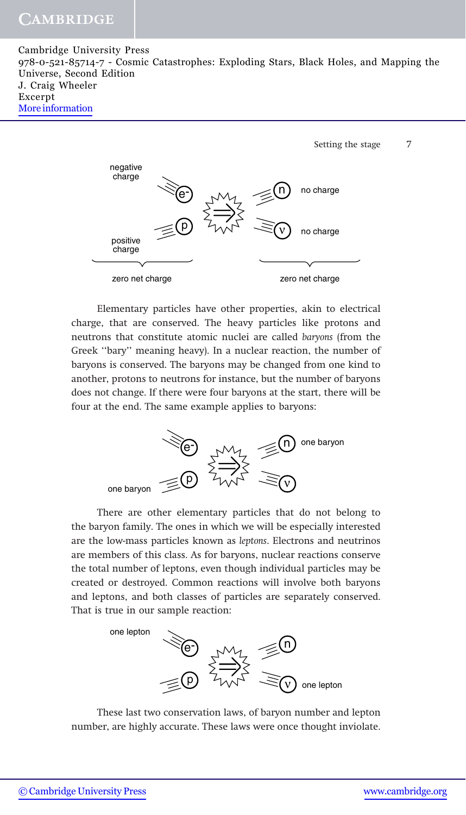

Elementary particles have other properties, akin to electrical charge, that are conserved. The heavy particles like protons and neutrons that constitute atomic nuclei are called baryons (from the Greek "bary" meaning heavy). In a nuclear reaction, the number of baryons is conserved.The baryons may be changed from one kind to another, protons to neutrons for instance, but the number of baryons does not change. If there were four baryons at the start, there will be four at the end. The same example applies to baryons:



There are other elementary particles that do not belong to the baryon family.The ones in which we will be especially interested are the low-mass particles known as leptons. Electrons and neutrinos are members of this class. As for baryons, nuclear reactions conserve the total number of leptons, even though individual particles may be created or destroyed. Common reactions will involve both baryons and leptons, and both classes of particles are separately conserved. That is true in our sample reaction:



These last two conservation laws, of baryon number and lepton number, are highly accurate. These laws were once thought inviolate.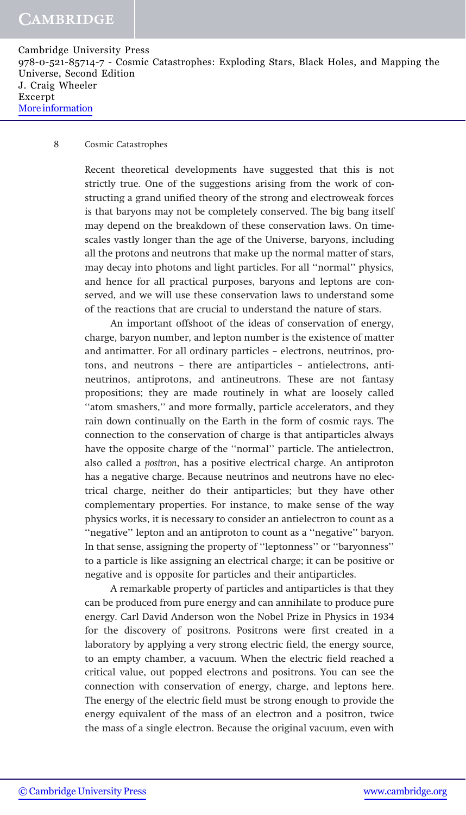## 8 Cosmic Catastrophes

Recent theoretical developments have suggested that this is not strictly true. One of the suggestions arising from the work of constructing a grand unified theory of the strong and electroweak forces is that baryons may not be completely conserved. The big bang itself may depend on the breakdown of these conservation laws. On timescales vastly longer than the age of the Universe, baryons, including all the protons and neutrons that make up the normal matter of stars, may decay into photons and light particles.For all ''normal'' physics, and hence for all practical purposes, baryons and leptons are conserved, and we will use these conservation laws to understand some of the reactions that are crucial to understand the nature of stars.

An important offshoot of the ideas of conservation of energy, charge, baryon number, and lepton number is the existence of matter and antimatter. For all ordinary particles - electrons, neutrinos, protons, and neutrons – there are antiparticles – antielectrons, antineutrinos, antiprotons, and antineutrons.These are not fantasy propositions; they are made routinely in what are loosely called ''atom smashers,'' and more formally, particle accelerators, and they rain down continually on the Earth in the form of cosmic rays.The connection to the conservation of charge is that antiparticles always have the opposite charge of the "normal" particle. The antielectron, also called a *positron*, has a positive electrical charge. An antiproton has a negative charge. Because neutrinos and neutrons have no electrical charge, neither do their antiparticles; but they have other complementary properties. For instance, to make sense of the way physics works, it is necessary to consider an antielectron to count as a ''negative'' lepton and an antiproton to count as a ''negative'' baryon. In that sense, assigning the property of ''leptonness'' or ''baryonness'' to a particle is like assigning an electrical charge; it can be positive or negative and is opposite for particles and their antiparticles.

A remarkable property of particles and antiparticles is that they can be produced from pure energy and can annihilate to produce pure energy.Carl David Anderson won the Nobel Prize in Physics in 1934 for the discovery of positrons. Positrons were first created in a laboratory by applying a very strong electric field, the energy source, to an empty chamber, a vacuum.When the electric field reached a critical value, out popped electrons and positrons.You can see the connection with conservation of energy, charge, and leptons here. The energy of the electric field must be strong enough to provide the energy equivalent of the mass of an electron and a positron, twice the mass of a single electron. Because the original vacuum, even with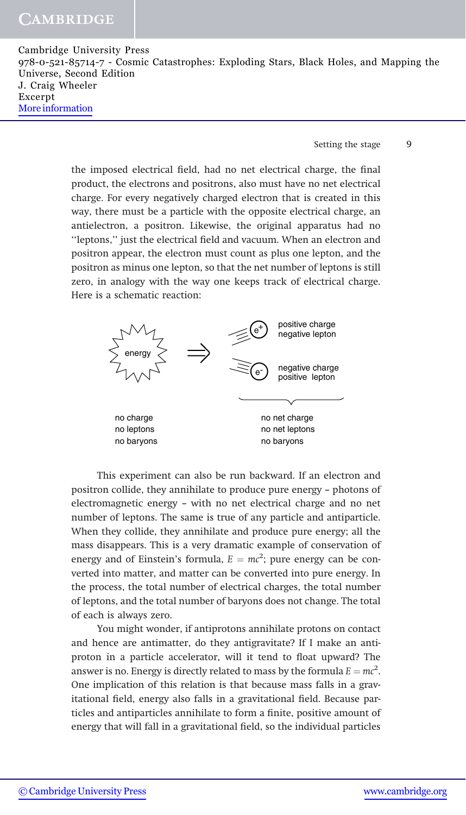Setting the stage 9

the imposed electrical field, had no net electrical charge, the final product, the electrons and positrons, also must have no net electrical charge. For every negatively charged electron that is created in this way, there must be a particle with the opposite electrical charge, an antielectron, a positron. Likewise, the original apparatus had no ''leptons,'' just the electrical field and vacuum.When an electron and positron appear, the electron must count as plus one lepton, and the positron as minus one lepton, so that the net number of leptons is still zero, in analogy with the way one keeps track of electrical charge. Here is a schematic reaction:



This experiment can also be run backward. If an electron and positron collide, they annihilate to produce pure energy – photons of electromagnetic energy – with no net electrical charge and no net number of leptons. The same is true of any particle and antiparticle. When they collide, they annihilate and produce pure energy; all the mass disappears.This is a very dramatic example of conservation of energy and of Einstein's formula,  $E = mc^2$ ; pure energy can be converted into matter, and matter can be converted into pure energy. In the process, the total number of electrical charges, the total number of leptons, and the total number of baryons does not change.The total of each is always zero.

You might wonder, if antiprotons annihilate protons on contact and hence are antimatter, do they antigravitate? If I make an antiproton in a particle accelerator, will it tend to float upward? The answer is no. Energy is directly related to mass by the formula  $E = mc^2$ . One implication of this relation is that because mass falls in a gravitational field, energy also falls in a gravitational field. Because particles and antiparticles annihilate to form a finite, positive amount of energy that will fall in a gravitational field, so the individual particles